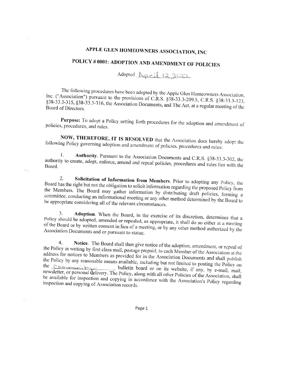## APPLE GLEN HOMEOWNERS ASSOCIATION, INC

## POLICY # 0001: ADOPTION AND AMENDMENT OF POLICIES

Adopted <u>Rocil 12,2022</u>

The following procedures have been adopted by the Apple Glen Homeowners Association, Inc. ("Association") pursuant to the provisions of C.R.S. §38-33.3-209.5, C.R.S. §38-33.3-123, §38-33.3-315, §38-33.3-316, the Association Documents, and The Act, at a regular meeting of the Board of Directors.

Purpose: To adopt a Policy setting forth procedures for the adoption and amendment of policies, procedures, and rules.

NOW, THEREFORE, IT IS RESOLVED that the Association does hereby adopt the following Policy governing adoption and amendment of policies, procedures and rules:

Authority. Pursuant to the Association Documents and C.R.S. §38-33.3-302, the  $\mathbf{1}$ . authority to create, adopt, enforce, amend and repeal policies, procedures and rules lies with the Board.

Solicitation of Information from Members. Prior to adopting any Policy, the 2. Board has the right but not the obligation to solicit information regarding the proposed Policy from the Members. The Board may gather information by distributing draft policies, forming a committee, conducting an informational meeting or any other method determined by the Board to be appropriate considering all of the relevant circumstances.

Adoption. When the Board, in the exercise of its discretion, determines that a 3. Policy should be adopted, amended or repealed, as appropriate, it shall do so either at a meeting of the Board or by written consent in lieu of a meeting, or by any other method authorized by the Association Documents and or pursuant to statue.

Notice. The Board shall then give notice of the adoption, amendment, or repeal of  $4.$ the Policy in writing by first class mail, postage prepaid, to each Member of the Association at the address for notices to Members as provided for in the Association Documents and shall publish the Policy by any reasonable means available, including but not limited to posting the Policy on the <u>community</u> bulletin board or on its website, if any, by e-mail, mail, newsletter, or personal delivery. The Policy, along with all other Policies of the Association, shall be available for inspection and copying in accordance with the Association's Policy regarding inspection and copying of Association records.

Page 1